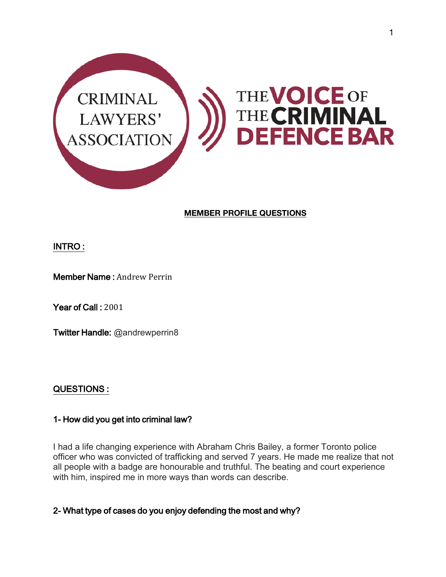

# **MEMBER PROFILE QUESTIONS**

# INTRO :

#### Member Name : Andrew Perrin

Year of Call: 2001

Twitter Handle: @andrewperrin8

# QUESTIONS :

# 1- How did you get into criminal law?

I had a life changing experience with Abraham Chris Bailey, a former Toronto police officer who was convicted of trafficking and served 7 years. He made me realize that not all people with a badge are honourable and truthful. The beating and court experience with him, inspired me in more ways than words can describe.

2- What type of cases do you enjoy defending the most and why?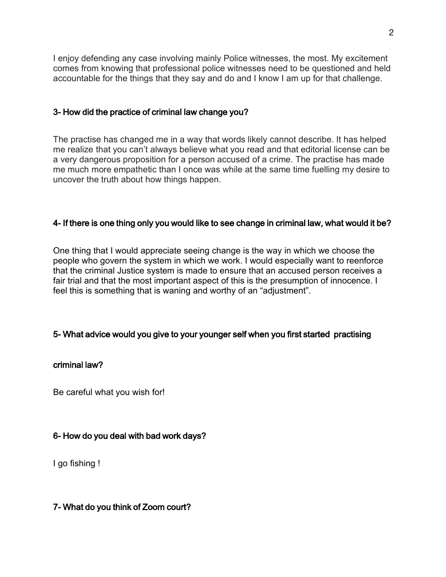I enjoy defending any case involving mainly Police witnesses, the most. My excitement comes from knowing that professional police witnesses need to be questioned and held accountable for the things that they say and do and I know I am up for that challenge.

#### 3- How did the practice of criminal law change you?

The practise has changed me in a way that words likely cannot describe. It has helped me realize that you can't always believe what you read and that editorial license can be a very dangerous proposition for a person accused of a crime. The practise has made me much more empathetic than I once was while at the same time fuelling my desire to uncover the truth about how things happen.

#### 4- If there is one thing only you would like to see change in criminal law, what would it be?

One thing that I would appreciate seeing change is the way in which we choose the people who govern the system in which we work. I would especially want to reenforce that the criminal Justice system is made to ensure that an accused person receives a fair trial and that the most important aspect of this is the presumption of innocence. I feel this is something that is waning and worthy of an "adjustment".

# 5- What advice would you give to your younger self when you first startedpractising

#### criminal law?

Be careful what you wish for!

# 6- How do you deal with bad work days?

I go fishing !

#### 7- What do you think of Zoom court?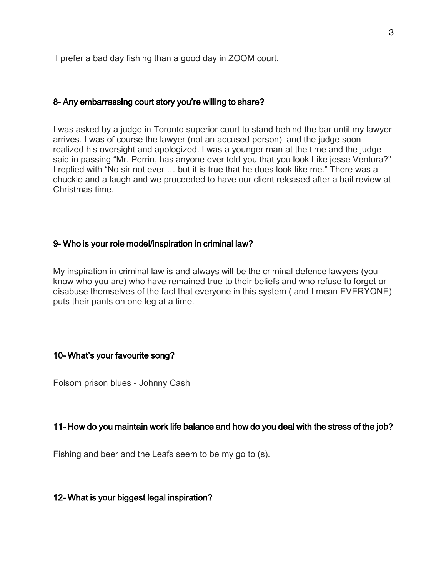I prefer a bad day fishing than a good day in ZOOM court.

#### 8- Any embarrassing court story you're willing to share?

I was asked by a judge in Toronto superior court to stand behind the bar until my lawyer arrives. I was of course the lawyer (not an accused person) and the judge soon realized his oversight and apologized. I was a younger man at the time and the judge said in passing "Mr. Perrin, has anyone ever told you that you look Like jesse Ventura?" I replied with "No sir not ever … but it is true that he does look like me." There was a chuckle and a laugh and we proceeded to have our client released after a bail review at Christmas time.

#### 9- Who is your role model/inspiration in criminal law?

My inspiration in criminal law is and always will be the criminal defence lawyers (you know who you are) who have remained true to their beliefs and who refuse to forget or disabuse themselves of the fact that everyone in this system ( and I mean EVERYONE) puts their pants on one leg at a time.

#### 10- What's your favourite song?

Folsom prison blues - Johnny Cash

# 11- How do you maintain work life balance and how do you deal with the stress of the job?

Fishing and beer and the Leafs seem to be my go to (s).

# 12- What is your biggest legal inspiration?